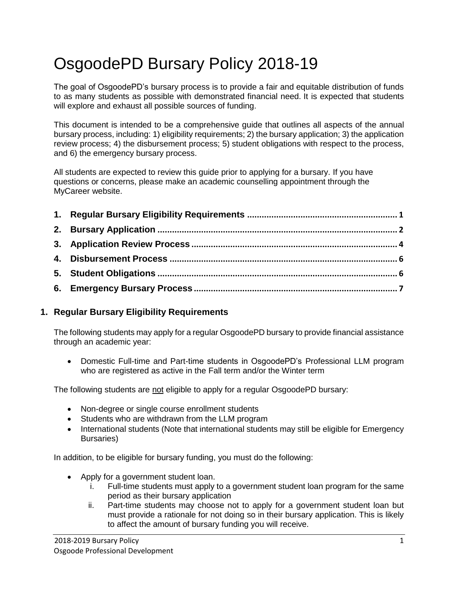# OsgoodePD Bursary Policy 2018-19

The goal of OsgoodePD's bursary process is to provide a fair and equitable distribution of funds to as many students as possible with demonstrated financial need. It is expected that students will explore and exhaust all possible sources of funding.

This document is intended to be a comprehensive guide that outlines all aspects of the annual bursary process, including: 1) eligibility requirements; 2) the bursary application; 3) the application review process; 4) the disbursement process; 5) student obligations with respect to the process, and 6) the emergency bursary process.

All students are expected to review this guide prior to applying for a bursary. If you have questions or concerns, please make an academic counselling appointment through the MyCareer website.

## <span id="page-0-0"></span>**1. Regular Bursary Eligibility Requirements**

The following students may apply for a regular OsgoodePD bursary to provide financial assistance through an academic year:

 Domestic Full-time and Part-time students in OsgoodePD's Professional LLM program who are registered as active in the Fall term and/or the Winter term

The following students are not eligible to apply for a regular OsgoodePD bursary:

- Non-degree or single course enrollment students
- Students who are withdrawn from the LLM program
- International students (Note that international students may still be eligible for Emergency Bursaries)

In addition, to be eligible for bursary funding, you must do the following:

- Apply for a government student loan.
	- i. Full-time students must apply to a government student loan program for the same period as their bursary application
	- ii. Part-time students may choose not to apply for a government student loan but must provide a rationale for not doing so in their bursary application. This is likely to affect the amount of bursary funding you will receive.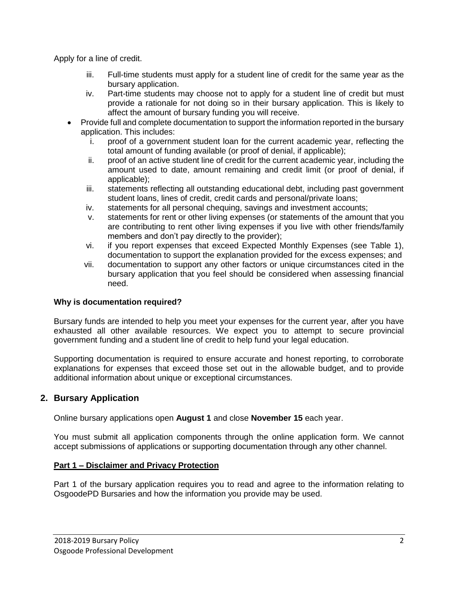Apply for a line of credit.

- iii. Full-time students must apply for a student line of credit for the same year as the bursary application.
- iv. Part-time students may choose not to apply for a student line of credit but must provide a rationale for not doing so in their bursary application. This is likely to affect the amount of bursary funding you will receive.
- Provide full and complete documentation to support the information reported in the bursary application. This includes:
	- i. proof of a government student loan for the current academic year, reflecting the total amount of funding available (or proof of denial, if applicable);
	- ii. proof of an active student line of credit for the current academic year, including the amount used to date, amount remaining and credit limit (or proof of denial, if applicable);
	- iii. statements reflecting all outstanding educational debt, including past government student loans, lines of credit, credit cards and personal/private loans;
	- iv. statements for all personal chequing, savings and investment accounts;
	- v. statements for rent or other living expenses (or statements of the amount that you are contributing to rent other living expenses if you live with other friends/family members and don't pay directly to the provider);
	- vi. if you report expenses that exceed Expected Monthly Expenses (see Table 1), documentation to support the explanation provided for the excess expenses; and
	- vii. documentation to support any other factors or unique circumstances cited in the bursary application that you feel should be considered when assessing financial need.

## **Why is documentation required?**

Bursary funds are intended to help you meet your expenses for the current year, after you have exhausted all other available resources. We expect you to attempt to secure provincial government funding and a student line of credit to help fund your legal education.

Supporting documentation is required to ensure accurate and honest reporting, to corroborate explanations for expenses that exceed those set out in the allowable budget, and to provide additional information about unique or exceptional circumstances.

## <span id="page-1-0"></span>**2. Bursary Application**

Online bursary applications open **August 1** and close **November 15** each year.

You must submit all application components through the online application form. We cannot accept submissions of applications or supporting documentation through any other channel.

## **Part 1 – Disclaimer and Privacy Protection**

Part 1 of the bursary application requires you to read and agree to the information relating to OsgoodePD Bursaries and how the information you provide may be used.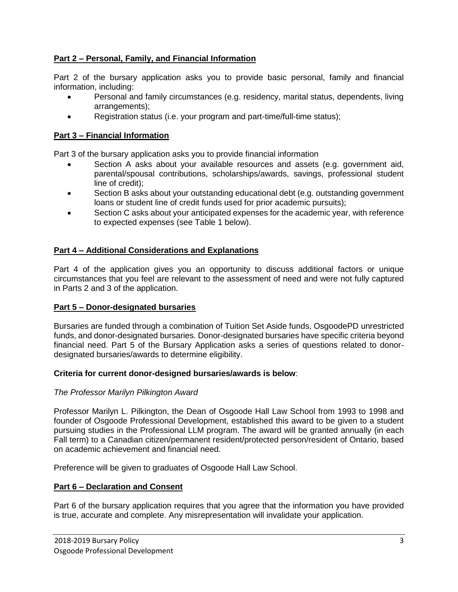## **Part 2 – Personal, Family, and Financial Information**

Part 2 of the bursary application asks you to provide basic personal, family and financial information, including:

- Personal and family circumstances (e.g. residency, marital status, dependents, living arrangements);
- Registration status (i.e. your program and part-time/full-time status);

#### **Part 3 – Financial Information**

Part 3 of the bursary application asks you to provide financial information

- Section A asks about your available resources and assets (e.g. government aid, parental/spousal contributions, scholarships/awards, savings, professional student line of credit);
- Section B asks about your outstanding educational debt (e.g. outstanding government loans or student line of credit funds used for prior academic pursuits);
- Section C asks about your anticipated expenses for the academic year, with reference to expected expenses (see Table 1 below).

#### **Part 4 – Additional Considerations and Explanations**

Part 4 of the application gives you an opportunity to discuss additional factors or unique circumstances that you feel are relevant to the assessment of need and were not fully captured in Parts 2 and 3 of the application.

#### **Part 5 – Donor-designated bursaries**

Bursaries are funded through a combination of Tuition Set Aside funds, OsgoodePD unrestricted funds, and donor-designated bursaries. Donor-designated bursaries have specific criteria beyond financial need. Part 5 of the Bursary Application asks a series of questions related to donordesignated bursaries/awards to determine eligibility.

#### **Criteria for current donor-designed bursaries/awards is below**:

#### *The Professor Marilyn Pilkington Award*

Professor Marilyn L. Pilkington, the Dean of Osgoode Hall Law School from 1993 to 1998 and founder of Osgoode Professional Development, established this award to be given to a student pursuing studies in the Professional LLM program. The award will be granted annually (in each Fall term) to a Canadian citizen/permanent resident/protected person/resident of Ontario, based on academic achievement and financial need.

Preference will be given to graduates of Osgoode Hall Law School.

#### **Part 6 – Declaration and Consent**

Part 6 of the bursary application requires that you agree that the information you have provided is true, accurate and complete. Any misrepresentation will invalidate your application.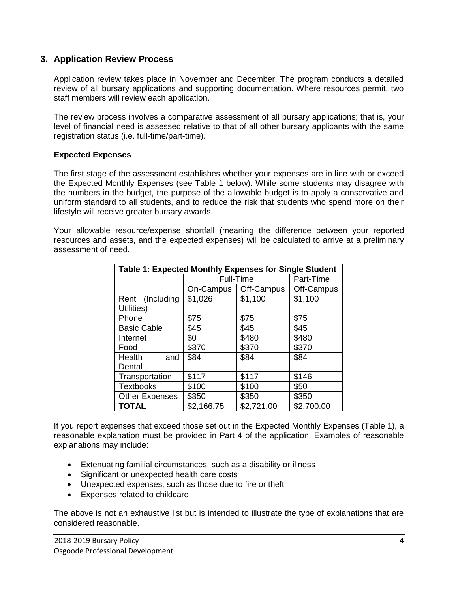### <span id="page-3-0"></span>**3. Application Review Process**

Application review takes place in November and December. The program conducts a detailed review of all bursary applications and supporting documentation. Where resources permit, two staff members will review each application.

The review process involves a comparative assessment of all bursary applications; that is, your level of financial need is assessed relative to that of all other bursary applicants with the same registration status (i.e. full-time/part-time).

#### **Expected Expenses**

The first stage of the assessment establishes whether your expenses are in line with or exceed the Expected Monthly Expenses (see Table 1 below). While some students may disagree with the numbers in the budget, the purpose of the allowable budget is to apply a conservative and uniform standard to all students, and to reduce the risk that students who spend more on their lifestyle will receive greater bursary awards.

Your allowable resource/expense shortfall (meaning the difference between your reported resources and assets, and the expected expenses) will be calculated to arrive at a preliminary assessment of need.

| Table 1: Expected Monthly Expenses for Single Student |            |                        |            |  |  |  |
|-------------------------------------------------------|------------|------------------------|------------|--|--|--|
|                                                       | Full-Time  |                        | Part-Time  |  |  |  |
|                                                       |            | On-Campus   Off-Campus | Off-Campus |  |  |  |
| Rent (Including                                       | \$1,026    | \$1,100                | \$1,100    |  |  |  |
| Utilities)                                            |            |                        |            |  |  |  |
| Phone                                                 | \$75       | \$75                   | \$75       |  |  |  |
| <b>Basic Cable</b>                                    | \$45       | \$45                   | \$45       |  |  |  |
| Internet                                              | \$0        | \$480                  | \$480      |  |  |  |
| Food                                                  | \$370      | \$370                  | \$370      |  |  |  |
| Health<br>and                                         | \$84       | \$84                   | \$84       |  |  |  |
| Dental                                                |            |                        |            |  |  |  |
| Transportation                                        | \$117      | \$117                  | \$146      |  |  |  |
| <b>Textbooks</b>                                      | \$100      | \$100                  | \$50       |  |  |  |
| <b>Other Expenses</b>                                 | \$350      | \$350                  | \$350      |  |  |  |
| <b>TOTAL</b>                                          | \$2,166.75 | \$2,721.00             | \$2,700.00 |  |  |  |

If you report expenses that exceed those set out in the Expected Monthly Expenses (Table 1), a reasonable explanation must be provided in Part 4 of the application. Examples of reasonable explanations may include:

- Extenuating familial circumstances, such as a disability or illness
- Significant or unexpected health care costs
- Unexpected expenses, such as those due to fire or theft
- Expenses related to childcare

The above is not an exhaustive list but is intended to illustrate the type of explanations that are considered reasonable.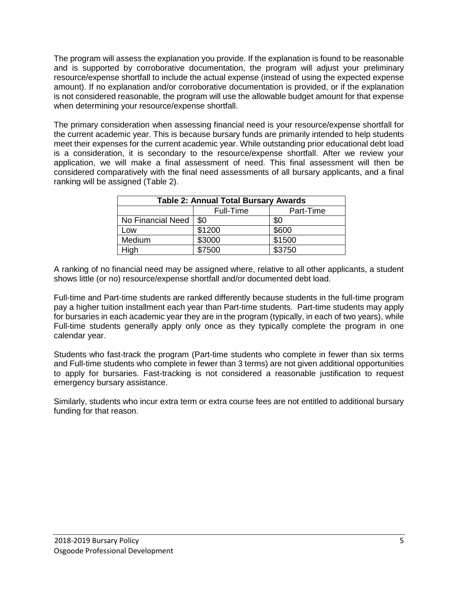The program will assess the explanation you provide. If the explanation is found to be reasonable and is supported by corroborative documentation, the program will adjust your preliminary resource/expense shortfall to include the actual expense (instead of using the expected expense amount). If no explanation and/or corroborative documentation is provided, or if the explanation is not considered reasonable, the program will use the allowable budget amount for that expense when determining your resource/expense shortfall.

The primary consideration when assessing financial need is your resource/expense shortfall for the current academic year. This is because bursary funds are primarily intended to help students meet their expenses for the current academic year. While outstanding prior educational debt load is a consideration, it is secondary to the resource/expense shortfall. After we review your application, we will make a final assessment of need. This final assessment will then be considered comparatively with the final need assessments of all bursary applicants, and a final ranking will be assigned (Table 2).

| <b>Table 2: Annual Total Bursary Awards</b> |                  |           |  |  |  |
|---------------------------------------------|------------------|-----------|--|--|--|
|                                             | <b>Full-Time</b> | Part-Time |  |  |  |
| No Financial Need                           | \$0              | \$0       |  |  |  |
| Low                                         | \$1200           | \$600     |  |  |  |
| Medium                                      | \$3000           | \$1500    |  |  |  |
| Hiah                                        | \$7500           | \$3750    |  |  |  |

A ranking of no financial need may be assigned where, relative to all other applicants, a student shows little (or no) resource/expense shortfall and/or documented debt load.

Full-time and Part-time students are ranked differently because students in the full-time program pay a higher tuition installment each year than Part-time students. Part-time students may apply for bursaries in each academic year they are in the program (typically, in each of two years), while Full-time students generally apply only once as they typically complete the program in one calendar year.

Students who fast-track the program (Part-time students who complete in fewer than six terms and Full-time students who complete in fewer than 3 terms) are not given additional opportunities to apply for bursaries. Fast-tracking is not considered a reasonable justification to request emergency bursary assistance.

Similarly, students who incur extra term or extra course fees are not entitled to additional bursary funding for that reason.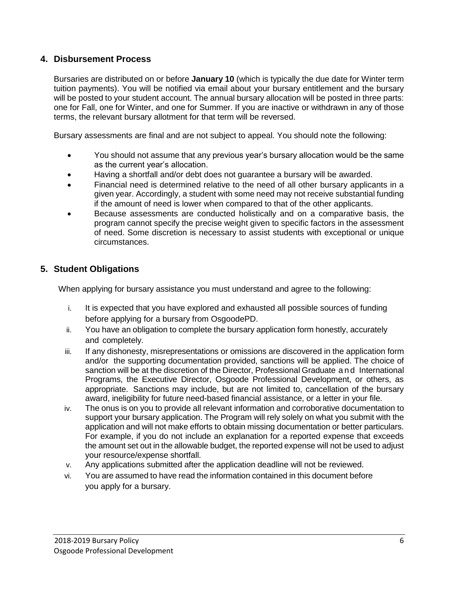## <span id="page-5-0"></span>**4. Disbursement Process**

Bursaries are distributed on or before **January 10** (which is typically the due date for Winter term tuition payments). You will be notified via email about your bursary entitlement and the bursary will be posted to your student account. The annual bursary allocation will be posted in three parts: one for Fall, one for Winter, and one for Summer. If you are inactive or withdrawn in any of those terms, the relevant bursary allotment for that term will be reversed.

Bursary assessments are final and are not subject to appeal. You should note the following:

- You should not assume that any previous year's bursary allocation would be the same as the current year's allocation.
- Having a shortfall and/or debt does not guarantee a bursary will be awarded.
- Financial need is determined relative to the need of all other bursary applicants in a given year. Accordingly, a student with some need may not receive substantial funding if the amount of need is lower when compared to that of the other applicants.
- Because assessments are conducted holistically and on a comparative basis, the program cannot specify the precise weight given to specific factors in the assessment of need. Some discretion is necessary to assist students with exceptional or unique circumstances.

## <span id="page-5-1"></span>**5. Student Obligations**

When applying for bursary assistance you must understand and agree to the following:

- i. It is expected that you have explored and exhausted all possible sources of funding before applying for a bursary from OsgoodePD.
- ii. You have an obligation to complete the bursary application form honestly, accurately and completely.
- iii. If any dishonesty, misrepresentations or omissions are discovered in the application form and/or the supporting documentation provided, sanctions will be applied. The choice of sanction will be at the discretion of the Director, Professional Graduate a n d International Programs, the Executive Director, Osgoode Professional Development, or others, as appropriate. Sanctions may include, but are not limited to, cancellation of the bursary award, ineligibility for future need-based financial assistance, or a letter in your file.
- iv. The onus is on you to provide all relevant information and corroborative documentation to support your bursary application. The Program will rely solely on what you submit with the application and will not make efforts to obtain missing documentation or better particulars. For example, if you do not include an explanation for a reported expense that exceeds the amount set out in the allowable budget, the reported expense will not be used to adjust your resource/expense shortfall.
- v. Any applications submitted after the application deadline will not be reviewed.
- vi. You are assumed to have read the information contained in this document before you apply for a bursary.